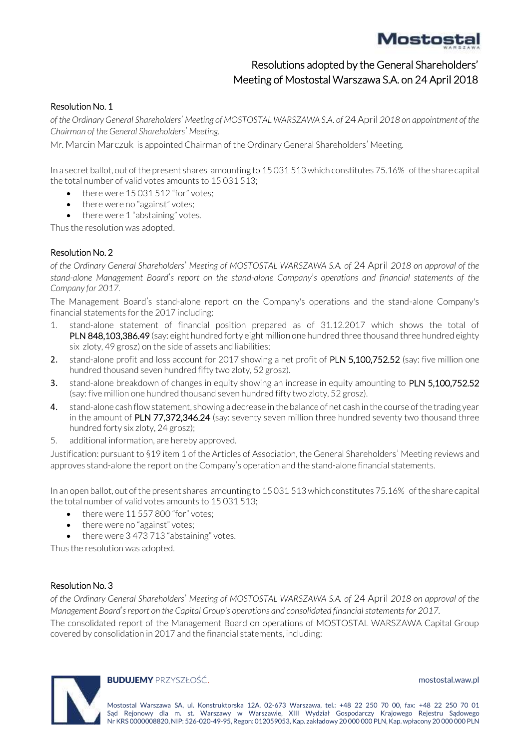# Mostostal

## Resolutions adopted by the General Shareholders' Meeting of Mostostal Warszawa S.A. on 24 April 2018

### Resolution No. 1

*of the Ordinary General Shareholders*' *Meeting of MOSTOSTAL WARSZAWA S.A. of* 24 April *2018 on appointment of the Chairman of the General Shareholders*' *Meeting.*

Mr. Marcin Marczuk is appointed Chairman of the Ordinary General Shareholders' Meeting.

In a secret ballot, out of the present shares amounting to 15 031 513 which constitutes 75.16% of the share capital the total number of valid votes amounts to 15 031 513;

- there were 15 031 512 "for" votes;
- there were no "against" votes;
- there were 1 "abstaining" votes.

Thus the resolution was adopted.

#### Resolution No. 2

*of the Ordinary General Shareholders*' *Meeting of MOSTOSTAL WARSZAWA S.A. of* 24 April *2018 on approval of the stand-alone Management Board*'*s report on the stand-alone Company*'*s operations and financial statements of the Company for 2017.*

The Management Board's stand-alone report on the Company's operations and the stand-alone Company's financial statements for the 2017 including:

- 1. stand-alone statement of financial position prepared as of 31.12.2017 which shows the total of PLN 848,103,386.49 (say: eight hundred forty eight million one hundred three thousand three hundred eighty six zloty, 49 grosz) on the side of assets and liabilities;
- 2. stand-alone profit and loss account for 2017 showing a net profit of PLN 5,100,752.52 (say: five million one hundred thousand seven hundred fifty two zloty, 52 grosz).
- 3. stand-alone breakdown of changes in equity showing an increase in equity amounting to PLN 5,100,752.52 (say: five million one hundred thousand seven hundred fifty two zloty, 52 grosz).
- 4. stand-alone cash flow statement, showing a decrease in the balance of net cash in the course of the trading year in the amount of PLN 77,372,346.24 (say: seventy seven million three hundred seventy two thousand three hundred forty six zloty, 24 grosz);
- 5. additional information, are hereby approved.

Justification: pursuant to §19 item 1 of the Articles of Association, the General Shareholders' Meeting reviews and approves stand-alone the report on the Company's operation and the stand-alone financial statements.

In an open ballot, out of the present shares amounting to 15 031 513 which constitutes 75.16% of the share capital the total number of valid votes amounts to 15 031 513;

- there were 11 557 800 "for" votes;
- there were no "against" votes;
- there were 3 473 713 "abstaining" votes.

Thus the resolution was adopted.

#### Resolution No. 3

*of the Ordinary General Shareholders*' *Meeting of MOSTOSTAL WARSZAWA S.A. of* 24 April *2018 on approval of the Management Board*'*s report on the Capital Group's operations and consolidated financial statements for 2017.*

The consolidated report of the Management Board on operations of MOSTOSTAL WARSZAWA Capital Group covered by consolidation in 2017 and the financial statements, including:



#### **BUDUJEMY** PRZYSZŁOŚĆ. **mostostal.waw.pl**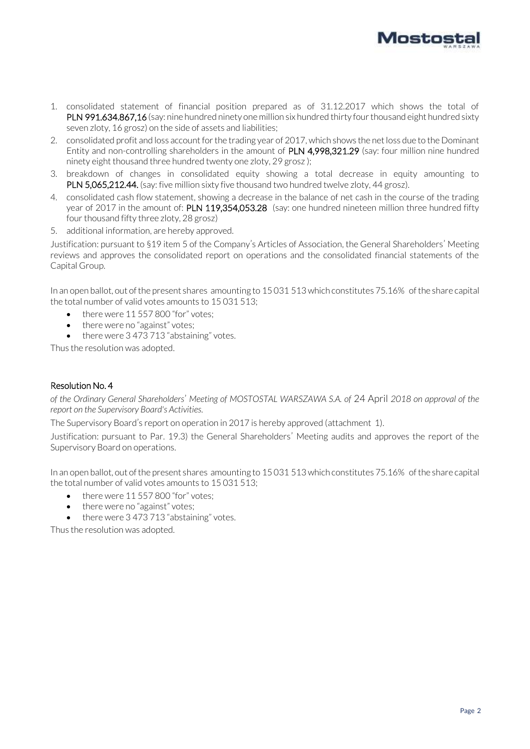

- 1. consolidated statement of financial position prepared as of 31.12.2017 which shows the total of PLN 991.634.867,16 (say: nine hundred ninety one million six hundred thirty four thousand eight hundred sixty seven zloty, 16 grosz) on the side of assets and liabilities;
- 2. consolidated profit and loss account for the trading year of 2017, which shows the net loss due to the Dominant Entity and non-controlling shareholders in the amount of PLN 4,998,321.29 (say: four million nine hundred ninety eight thousand three hundred twenty one zloty, 29 grosz );
- 3. breakdown of changes in consolidated equity showing a total decrease in equity amounting to PLN 5,065,212.44. (say: five million sixty five thousand two hundred twelve zloty, 44 grosz).
- 4. consolidated cash flow statement, showing a decrease in the balance of net cash in the course of the trading year of 2017 in the amount of: PLN 119,354,053.28 (say: one hundred nineteen million three hundred fifty four thousand fifty three zloty, 28 grosz)
- 5. additional information, are hereby approved.

Justification: pursuant to §19 item 5 of the Company's Articles of Association, the General Shareholders' Meeting reviews and approves the consolidated report on operations and the consolidated financial statements of the Capital Group.

In an open ballot, out of the present shares amounting to 15 031 513 which constitutes 75.16% of the share capital the total number of valid votes amounts to 15 031 513;

- there were 11 557 800 "for" votes;
- there were no "against" votes;
- there were 3 473 713 "abstaining" votes.

Thus the resolution was adopted.

#### Resolution No. 4

*of the Ordinary General Shareholders*' *Meeting of MOSTOSTAL WARSZAWA S.A. of* 24 April *2018 on approval of the report on the Supervisory Board's Activities.*

The Supervisory Board's report on operation in 2017 is hereby approved (attachment 1).

Justification: pursuant to Par. 19.3) the General Shareholders' Meeting audits and approves the report of the Supervisory Board on operations.

In an open ballot, out of the present shares amounting to 15 031 513 which constitutes 75.16% of the share capital the total number of valid votes amounts to 15 031 513;

- there were 11 557 800 "for" votes:
- there were no "against" votes;
- there were 3 473 713 "abstaining" votes.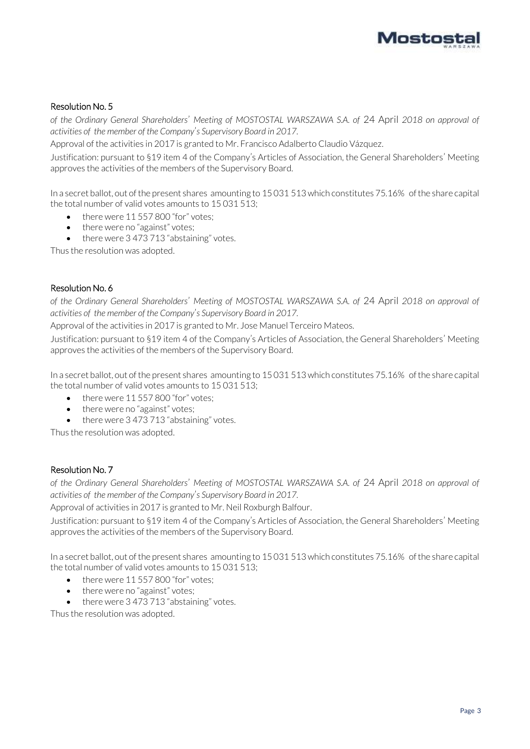

*of the Ordinary General Shareholders*' *Meeting of MOSTOSTAL WARSZAWA S.A. of* 24 April *2018 on approval of activities of the member of the Company*'*s Supervisory Board in 2017.*

Approval of the activities in 2017 is granted to Mr. Francisco Adalberto Claudio Vázquez.

Justification: pursuant to §19 item 4 of the Company's Articles of Association, the General Shareholders' Meeting approves the activities of the members of the Supervisory Board.

In a secret ballot, out of the present shares amounting to 15 031 513 which constitutes 75.16% of the share capital the total number of valid votes amounts to 15 031 513;

- there were 11 557 800 "for" votes;
- there were no "against" votes;
- there were 3 473 713 "abstaining" votes.

Thus the resolution was adopted.

#### Resolution No. 6

*of the Ordinary General Shareholders*' *Meeting of MOSTOSTAL WARSZAWA S.A. of* 24 April *2018 on approval of activities of the member of the Company*'*s Supervisory Board in 2017.*

Approval of the activities in 2017 is granted to Mr. Jose Manuel Terceiro Mateos.

Justification: pursuant to §19 item 4 of the Company's Articles of Association, the General Shareholders' Meeting approves the activities of the members of the Supervisory Board.

In a secret ballot, out of the present shares amounting to 15 031 513 which constitutes 75.16% of the share capital the total number of valid votes amounts to 15 031 513;

- there were 11 557 800 "for" votes;
- there were no "against" votes;
- there were 3 473 713 "abstaining" votes.

Thus the resolution was adopted.

#### Resolution No. 7

*of the Ordinary General Shareholders*' *Meeting of MOSTOSTAL WARSZAWA S.A. of* 24 April *2018 on approval of activities of the member of the Company*'*s Supervisory Board in 2017.*

Approval of activities in 2017 is granted to Mr. Neil Roxburgh Balfour.

Justification: pursuant to §19 item 4 of the Company's Articles of Association, the General Shareholders' Meeting approves the activities of the members of the Supervisory Board.

In a secret ballot, out of the present shares amounting to 15 031 513 which constitutes 75.16% of the share capital the total number of valid votes amounts to 15 031 513;

- $\bullet$  there were 11 557 800 "for" votes:
- there were no "against" votes:
- there were 3 473 713 "abstaining" votes.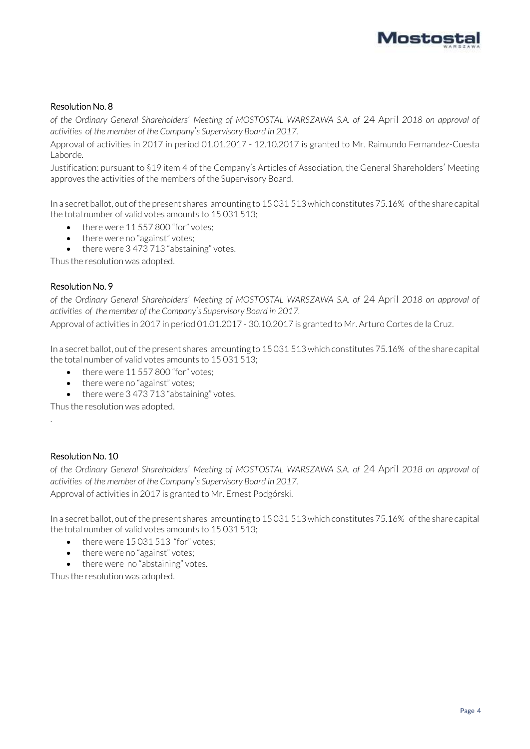

*of the Ordinary General Shareholders*' *Meeting of MOSTOSTAL WARSZAWA S.A. of* 24 April *2018 on approval of activities of the member of the Company*'*s Supervisory Board in 2017.*

Approval of activities in 2017 in period 01.01.2017 - 12.10.2017 is granted to Mr. Raimundo Fernandez-Cuesta Laborde.

Justification: pursuant to §19 item 4 of the Company's Articles of Association, the General Shareholders' Meeting approves the activities of the members of the Supervisory Board.

In a secret ballot, out of the present shares amounting to 15 031 513 which constitutes 75.16% of the share capital the total number of valid votes amounts to 15 031 513;

- there were 11 557 800 "for" votes;
- there were no "against" votes;
- there were 3 473 713 "abstaining" votes.

Thus the resolution was adopted.

#### Resolution No. 9

*of the Ordinary General Shareholders*' *Meeting of MOSTOSTAL WARSZAWA S.A. of* 24 April *2018 on approval of activities of the member of the Company*'*s Supervisory Board in 2017.*

Approval of activities in 2017 in period 01.01.2017 - 30.10.2017 is granted to Mr. Arturo Cortes de la Cruz.

In a secret ballot, out of the present shares amounting to 15 031 513 which constitutes 75.16% of the share capital the total number of valid votes amounts to 15 031 513;

- $\bullet$  there were 11 557 800 "for" votes:
- there were no "against" votes;
- there were 3 473 713 "abstaining" votes.

Thus the resolution was adopted.

#### Resolution No. 10

.

*of the Ordinary General Shareholders*' *Meeting of MOSTOSTAL WARSZAWA S.A. of* 24 April *2018 on approval of activities of the member of the Company*'*s Supervisory Board in 2017.* Approval of activities in 2017 is granted to Mr. Ernest Podgórski.

In a secret ballot, out of the present shares amounting to 15 031 513 which constitutes 75.16% of the share capital

- the total number of valid votes amounts to 15 031 513;
	- $\bullet$  there were 15 031 513 "for" votes:
	- there were no "against" votes;
	- there were no "abstaining" votes.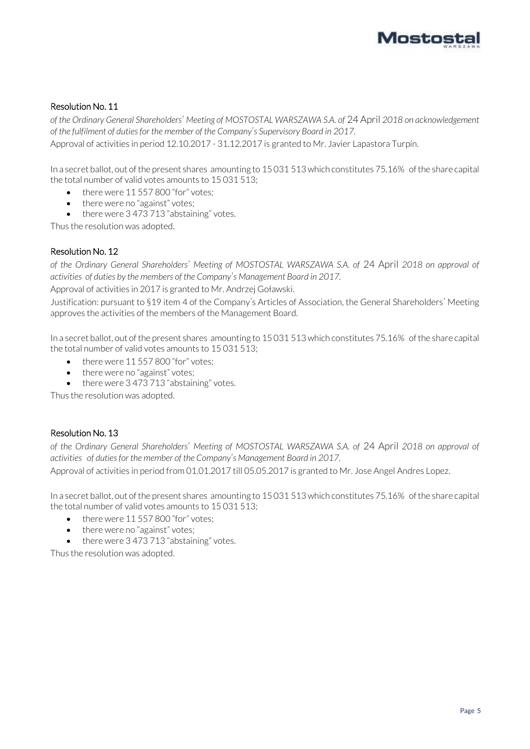

*of the Ordinary General Shareholders*' *Meeting of MOSTOSTAL WARSZAWA S.A. of* 24 April *2018 on acknowledgement of the fulfilment of duties for the member of the Company*'*s Supervisory Board in 2017.*

Approval of activities in period 12.10.2017 - 31.12.2017 is granted to Mr. Javier Lapastora Turpín.

In a secret ballot, out of the present shares amounting to 15 031 513 which constitutes 75.16% of the share capital the total number of valid votes amounts to 15 031 513;

- there were 11 557 800 "for" votes;
- there were no "against" votes;
- there were 3 473 713 "abstaining" votes.

Thus the resolution was adopted.

#### Resolution No. 12

*of the Ordinary General Shareholders*' *Meeting of MOSTOSTAL WARSZAWA S.A. of* 24 April *2018 on approval of activities of duties by the members of the Company*'*s Management Board in 2017.*

Approval of activities in 2017 is granted to Mr. Andrzej Goławski.

Justification: pursuant to §19 item 4 of the Company's Articles of Association, the General Shareholders' Meeting approves the activities of the members of the Management Board.

In a secret ballot, out of the present shares amounting to 15 031 513 which constitutes 75.16% of the share capital the total number of valid votes amounts to 15 031 513;

- there were 11 557 800 "for" votes;
- there were no "against" votes;
- there were 3 473 713 "abstaining" votes.

Thus the resolution was adopted.

#### Resolution No. 13

*of the Ordinary General Shareholders*' *Meeting of MOSTOSTAL WARSZAWA S.A. of* 24 April *2018 on approval of activities of duties for the member of the Company*'*s Management Board in 2017.* Approval of activities in period from 01.01.2017 till 05.05.2017 is granted to Mr. Jose Angel Andres Lopez.

In a secret ballot, out of the present shares amounting to 15 031 513 which constitutes 75.16% of the share capital the total number of valid votes amounts to 15 031 513;

- there were 11 557 800 "for" votes;
- there were no "against" votes;
- there were 3 473 713 "abstaining" votes.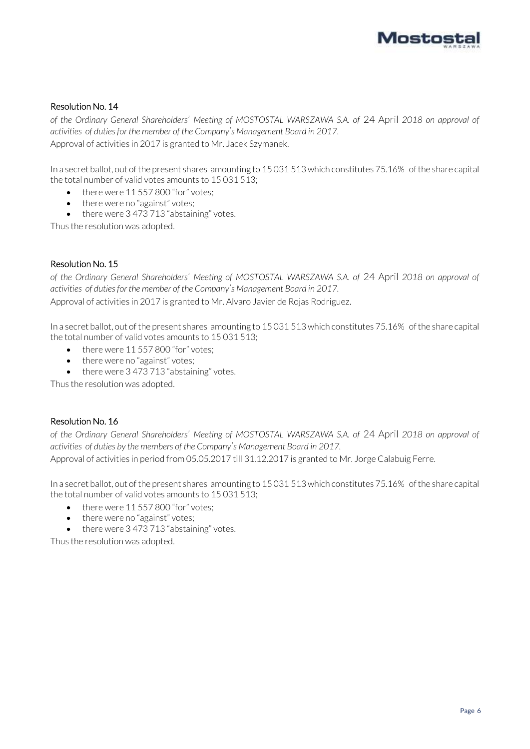

*of the Ordinary General Shareholders*' *Meeting of MOSTOSTAL WARSZAWA S.A. of* 24 April *2018 on approval of activities of duties for the member of the Company*'*s Management Board in 2017.* Approval of activities in 2017 is granted to Mr. Jacek Szymanek.

In a secret ballot, out of the present shares amounting to 15 031 513 which constitutes 75.16% of the share capital the total number of valid votes amounts to 15 031 513;

- there were 11 557 800 "for" votes;
- there were no "against" votes;
- there were 3 473 713 "abstaining" votes.

Thus the resolution was adopted.

#### Resolution No. 15

*of the Ordinary General Shareholders*' *Meeting of MOSTOSTAL WARSZAWA S.A. of* 24 April *2018 on approval of activities of duties for the member of the Company*'*s Management Board in 2017.* Approval of activities in 2017 is granted to Mr. Alvaro Javier de Rojas Rodriguez.

In a secret ballot, out of the present shares amounting to 15 031 513 which constitutes 75.16% of the share capital the total number of valid votes amounts to 15 031 513;

- there were 11 557 800 "for" votes;
- there were no "against" votes;
- there were 3 473 713 "abstaining" votes.

Thus the resolution was adopted.

#### Resolution No. 16

*of the Ordinary General Shareholders*' *Meeting of MOSTOSTAL WARSZAWA S.A. of* 24 April *2018 on approval of activities of duties by the members of the Company*'*s Management Board in 2017.* Approval of activities in period from 05.05.2017 till 31.12.2017 is granted to Mr. Jorge Calabuig Ferre.

In a secret ballot, out of the present shares amounting to 15 031 513 which constitutes 75.16% of the share capital

the total number of valid votes amounts to 15 031 513;

- there were 11 557 800 "for" votes;
- there were no "against" votes;
- there were 3 473 713 "abstaining" votes.